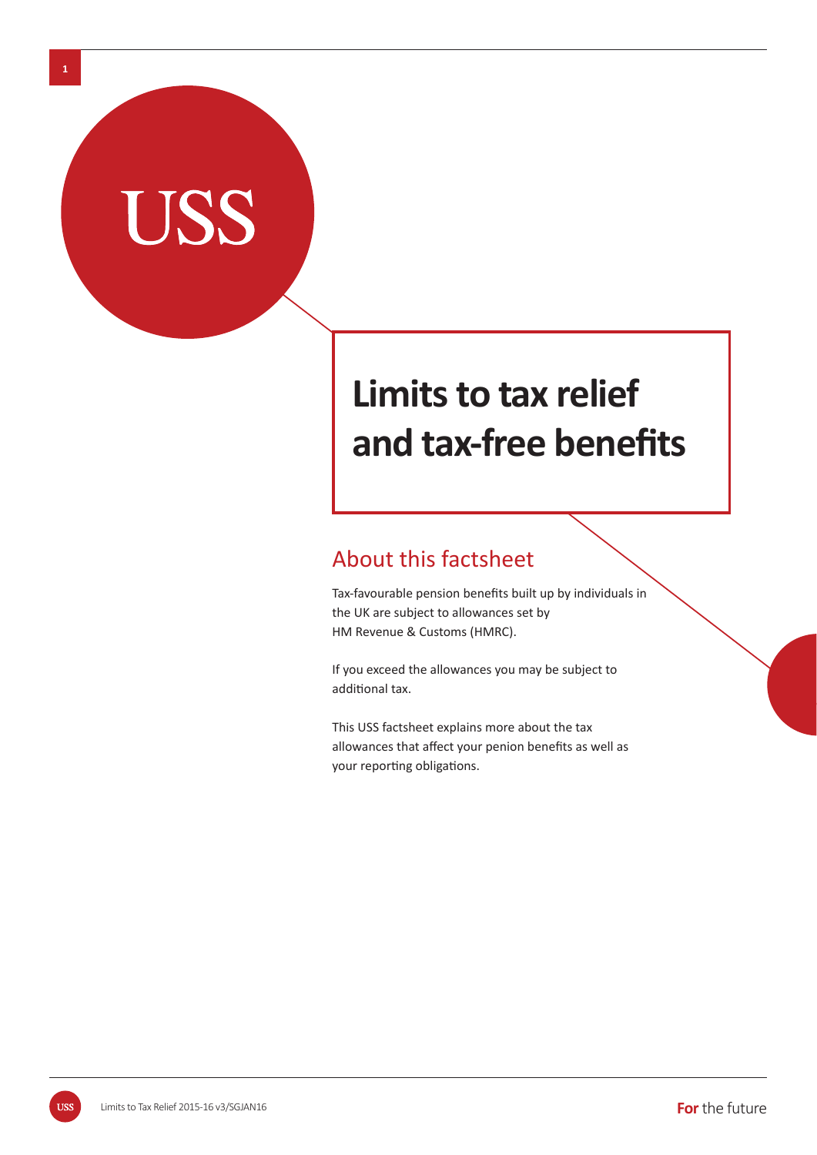# **Limits to tax relief**  and tax-free benefits

## About this factsheet

Tax-favourable pension benefits built up by individuals in the UK are subject to allowances set by HM Revenue & Customs (HMRC).

If you exceed the allowances you may be subject to additional tax.

This USS factsheet explains more about the tax allowances that affect your penion benefits as well as your reporting obligations.

**1**

USS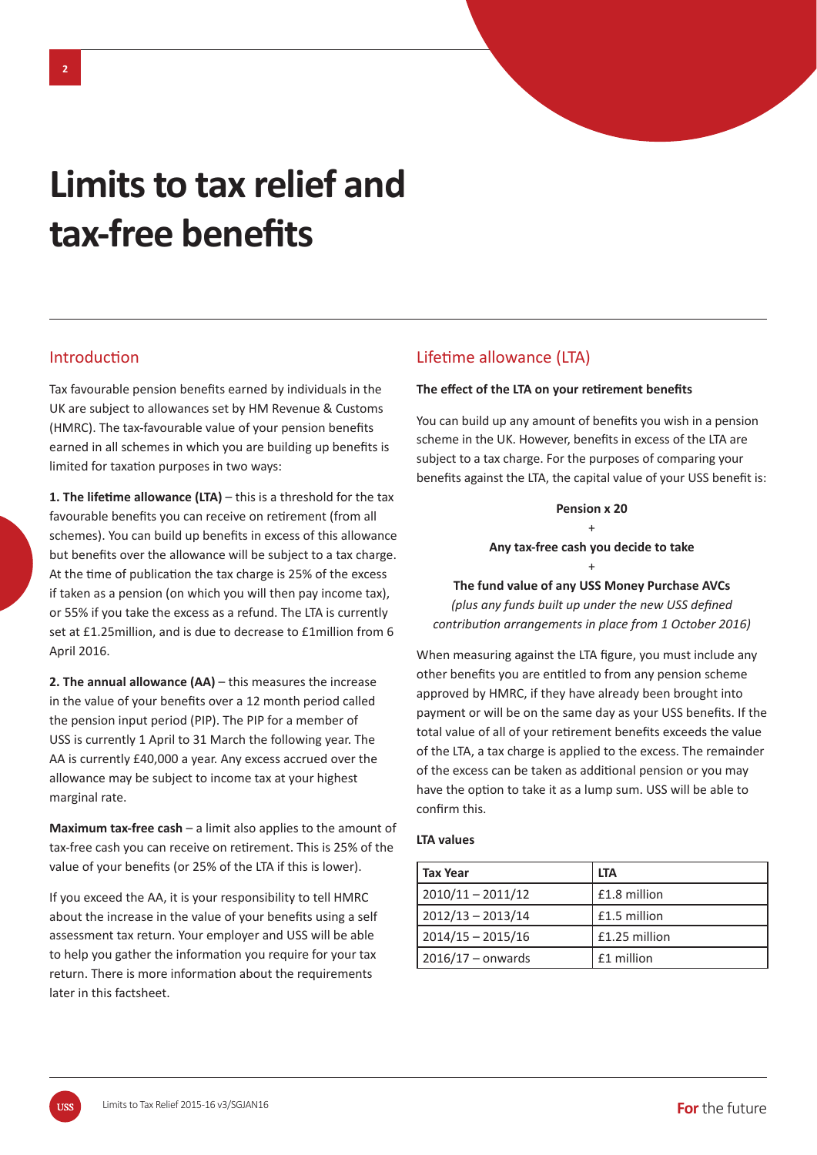## **Limits to tax relief and**  tax-free benefits

## **Introduction**

Tax favourable pension benefits earned by individuals in the UK are subject to allowances set by HM Revenue & Customs (HMRC). The tax-favourable value of your pension benefits earned in all schemes in which you are building up benefits is limited for taxation purposes in two ways:

**1. The lifetime allowance (LTA) – this is a threshold for the tax** favourable benefits you can receive on retirement (from all schemes). You can build up benefits in excess of this allowance but benefits over the allowance will be subject to a tax charge. At the time of publication the tax charge is 25% of the excess if taken as a pension (on which you will then pay income tax), or 55% if you take the excess as a refund. The LTA is currently set at £1.25million, and is due to decrease to £1million from 6 April 2016.

**2. The annual allowance (AA)** – this measures the increase in the value of your benefits over a 12 month period called the pension input period (PIP). The PIP for a member of USS is currently 1 April to 31 March the following year. The AA is currently £40,000 a year. Any excess accrued over the allowance may be subject to income tax at your highest marginal rate.

**Maximum tax-free cash** – a limit also applies to the amount of tax-free cash you can receive on retirement. This is 25% of the value of your benefits (or 25% of the LTA if this is lower).

If you exceed the AA, it is your responsibility to tell HMRC about the increase in the value of your benefits using a self assessment tax return. Your employer and USS will be able to help you gather the information you require for your tax return. There is more information about the requirements later in this factsheet.

## Lifetime allowance (LTA)

#### **The effect of the LTA on your retirement benefits**

You can build up any amount of benefits you wish in a pension scheme in the UK. However, benefits in excess of the LTA are subject to a tax charge. For the purposes of comparing your benefits against the LTA, the capital value of your USS benefit is:

#### **Pension x 20** +

#### **Any tax-free cash you decide to take**

+ **The fund value of any USS Money Purchase AVCs**  *(plus any funds built up under the new USS defined contribuƟ on arrangements in place from 1 October 2016)*

When measuring against the LTA figure, you must include any other benefits you are entitled to from any pension scheme approved by HMRC, if they have already been brought into payment or will be on the same day as your USS benefits. If the total value of all of your retirement benefits exceeds the value of the LTA, a tax charge is applied to the excess. The remainder of the excess can be taken as additional pension or you may have the option to take it as a lump sum. USS will be able to confirm this.

#### **LTA values**

| <b>Tax Year</b>     | <b>LTA</b>    |
|---------------------|---------------|
| $2010/11 - 2011/12$ | £1.8 million  |
| $2012/13 - 2013/14$ | £1.5 million  |
| $2014/15 - 2015/16$ | £1.25 million |
| $2016/17$ – onwards | £1 million    |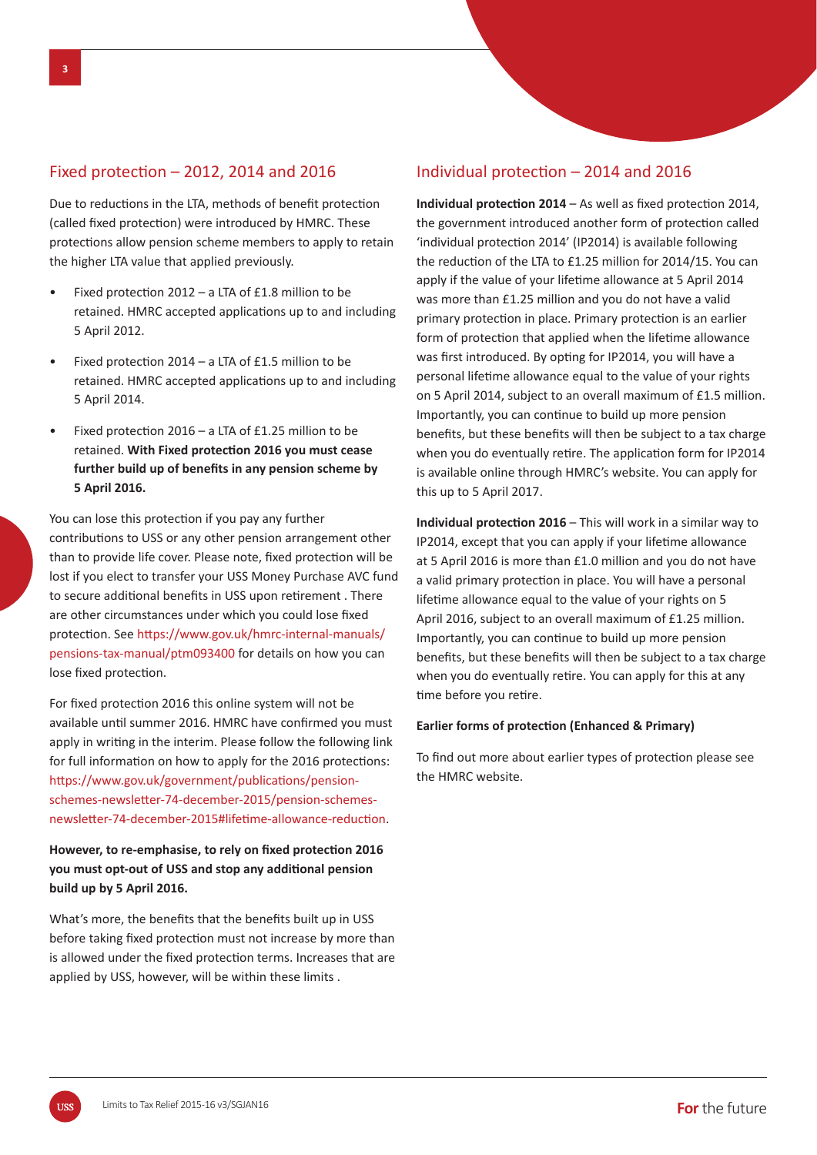## Fixed protection  $-$  2012, 2014 and 2016

Due to reductions in the LTA, methods of benefit protection (called fixed protection) were introduced by HMRC. These protections allow pension scheme members to apply to retain the higher LTA value that applied previously.

- Fixed protection  $2012 a$  LTA of £1.8 million to be retained. HMRC accepted applications up to and including 5 April 2012.
- Fixed protection 2014 a LTA of £1.5 million to be retained. HMRC accepted applications up to and including 5 April 2014.
- Fixed protection  $2016 a$  LTA of £1.25 million to be retained. With Fixed protection 2016 you must cease further build up of benefits in any pension scheme by **5 April 2016.**

You can lose this protection if you pay any further contributions to USS or any other pension arrangement other than to provide life cover. Please note, fixed protection will be lost if you elect to transfer your USS Money Purchase AVC fund to secure additional benefits in USS upon retirement . There are other circumstances under which you could lose fixed protection. See https://www.gov.uk/hmrc-internal-manuals/ pensions-tax-manual/ptm093400 for details on how you can lose fixed protection.

For fixed protection 2016 this online system will not be available until summer 2016. HMRC have confirmed you must apply in writing in the interim. Please follow the following link for full information on how to apply for the 2016 protections: https://www.gov.uk/government/publications/pensionschemes-newsletter-74-december-2015/pension-schemesnewsletter-74-december-2015#lifetime-allowance-reduction.

## However, to re-emphasise, to rely on fixed protection 2016 **you must opt-out of USS and stop any additional pension build up by 5 April 2016.**

What's more, the benefits that the benefits built up in USS before taking fixed protection must not increase by more than is allowed under the fixed protection terms. Increases that are applied by USS, however, will be within these limits .

## Individual protection  $-2014$  and 2016

**Individual protection 2014** – As well as fixed protection 2014, the government introduced another form of protection called 'individual protection 2014' (IP2014) is available following the reduction of the LTA to £1.25 million for 2014/15. You can apply if the value of your lifetime allowance at 5 April 2014 was more than £1.25 million and you do not have a valid primary protection in place. Primary protection is an earlier form of protection that applied when the lifetime allowance was first introduced. By opting for IP2014, you will have a personal lifetime allowance equal to the value of your rights on 5 April 2014, subject to an overall maximum of £1.5 million. Importantly, you can continue to build up more pension benefits, but these benefits will then be subject to a tax charge when you do eventually retire. The application form for IP2014 is available online through HMRC's website. You can apply for this up to 5 April 2017.

**Individual protection 2016** – This will work in a similar way to IP2014, except that you can apply if your lifetime allowance at 5 April 2016 is more than £1.0 million and you do not have a valid primary protection in place. You will have a personal lifetime allowance equal to the value of your rights on 5 April 2016, subject to an overall maximum of £1.25 million. Importantly, you can continue to build up more pension benefits, but these benefits will then be subject to a tax charge when you do eventually retire. You can apply for this at any time before you retire.

#### **Earlier forms of protection (Enhanced & Primary)**

To find out more about earlier types of protection please see the HMRC website.

**ZZU**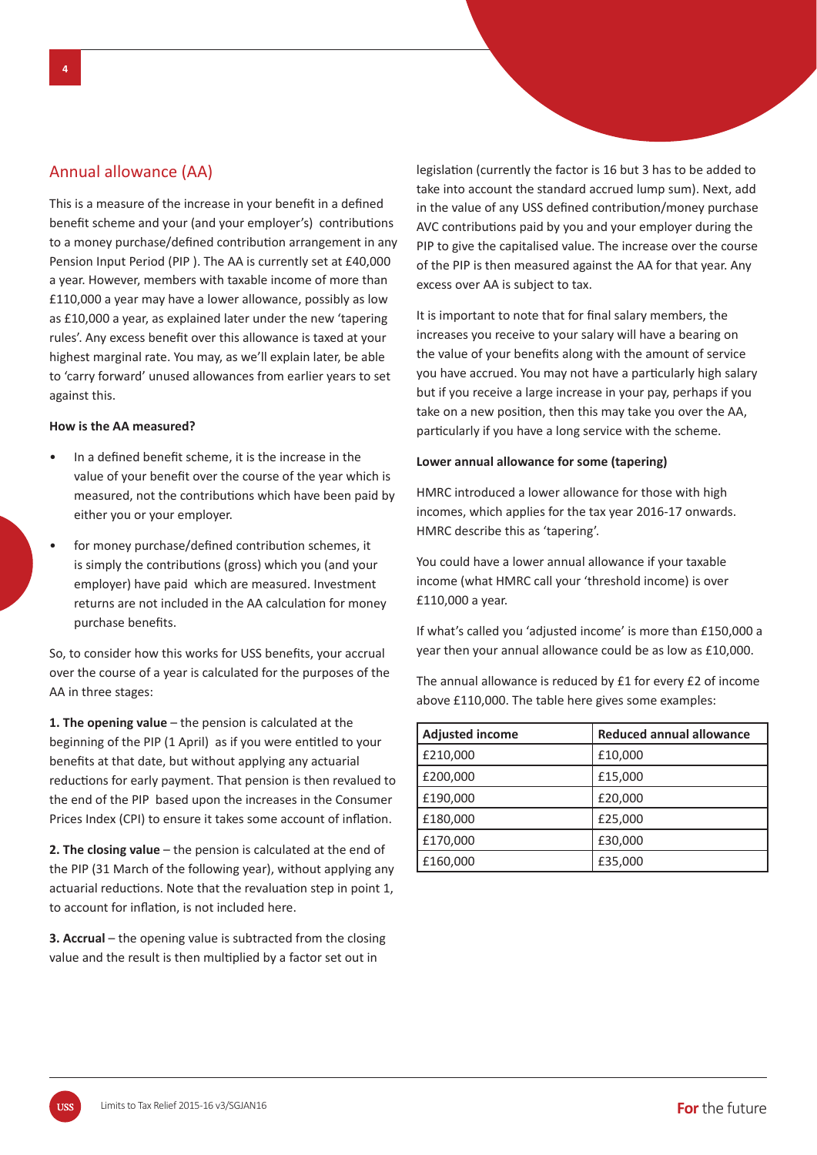## Annual allowance (AA)

This is a measure of the increase in your benefit in a defined benefit scheme and your (and your employer's) contributions to a money purchase/defined contribution arrangement in any Pension Input Period (PIP ). The AA is currently set at £40,000 a year. However, members with taxable income of more than £110,000 a year may have a lower allowance, possibly as low as £10,000 a year, as explained later under the new 'tapering rules'. Any excess benefit over this allowance is taxed at your highest marginal rate. You may, as we'll explain later, be able to 'carry forward' unused allowances from earlier years to set against this.

#### **How is the AA measured?**

- In a defined benefit scheme, it is the increase in the value of your benefit over the course of the year which is measured, not the contributions which have been paid by either you or your employer.
- for money purchase/defined contribution schemes, it is simply the contributions (gross) which you (and your employer) have paid which are measured. Investment returns are not included in the AA calculation for money purchase benefits.

So, to consider how this works for USS benefits, your accrual over the course of a year is calculated for the purposes of the AA in three stages:

**1. The opening value** – the pension is calculated at the beginning of the PIP (1 April) as if you were entitled to your benefits at that date, but without applying any actuarial reductions for early payment. That pension is then revalued to the end of the PIP based upon the increases in the Consumer Prices Index (CPI) to ensure it takes some account of inflation.

**2. The closing value** – the pension is calculated at the end of the PIP (31 March of the following year), without applying any actuarial reductions. Note that the revaluation step in point 1, to account for inflation, is not included here.

**3. Accrual** – the opening value is subtracted from the closing value and the result is then multiplied by a factor set out in

legislation (currently the factor is 16 but 3 has to be added to take into account the standard accrued lump sum). Next, add in the value of any USS defined contribution/money purchase AVC contributions paid by you and your employer during the PIP to give the capitalised value. The increase over the course of the PIP is then measured against the AA for that year. Any excess over AA is subject to tax.

It is important to note that for final salary members, the increases you receive to your salary will have a bearing on the value of your benefits along with the amount of service you have accrued. You may not have a particularly high salary but if you receive a large increase in your pay, perhaps if you take on a new position, then this may take you over the AA, particularly if you have a long service with the scheme.

#### **Lower annual allowance for some (tapering)**

HMRC introduced a lower allowance for those with high incomes, which applies for the tax year 2016-17 onwards. HMRC describe this as 'tapering'.

You could have a lower annual allowance if your taxable income (what HMRC call your 'threshold income) is over £110,000 a year.

If what's called you 'adjusted income' is more than £150,000 a year then your annual allowance could be as low as £10,000.

The annual allowance is reduced by £1 for every £2 of income above £110,000. The table here gives some examples:

| <b>Adjusted income</b> | Reduced annual allowance |
|------------------------|--------------------------|
| £210,000               | £10,000                  |
| £200,000               | £15,000                  |
| £190,000               | £20,000                  |
| £180,000               | £25,000                  |
| £170,000               | £30,000                  |
| £160,000               | £35,000                  |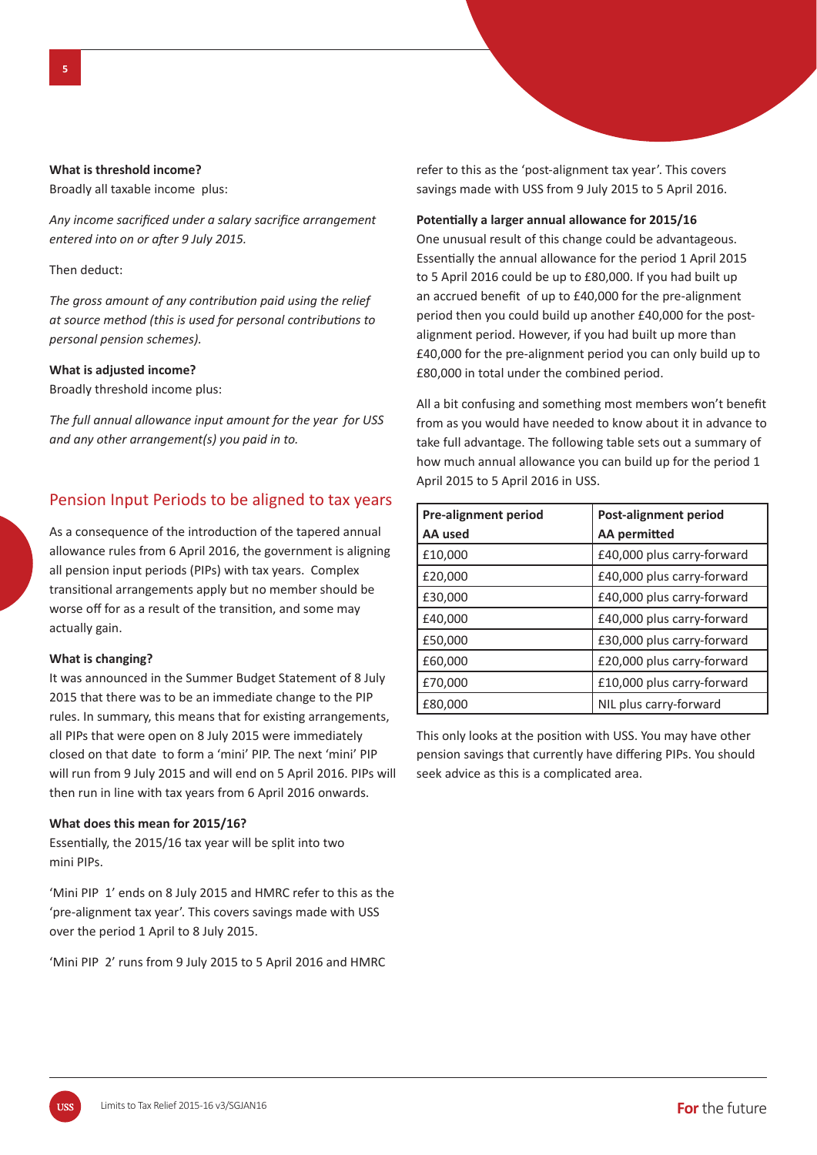#### **What is threshold income?**

Broadly all taxable income plus:

Any income sacrificed under a salary sacrifice arrangement *entered into on or after 9 July 2015.* 

Then deduct:

*The gross amount of any contribution paid using the relief at source method (this is used for personal contributions to personal pension schemes).*

#### **What is adjusted income?**

Broadly threshold income plus:

*The full annual allowance input amount for the year for USS and any other arrangement(s) you paid in to.*

## Pension Input Periods to be aligned to tax years

As a consequence of the introduction of the tapered annual allowance rules from 6 April 2016, the government is aligning all pension input periods (PIPs) with tax years. Complex transitional arrangements apply but no member should be worse off for as a result of the transition, and some may actually gain.

#### **What is changing?**

It was announced in the Summer Budget Statement of 8 July 2015 that there was to be an immediate change to the PIP rules. In summary, this means that for existing arrangements, all PIPs that were open on 8 July 2015 were immediately closed on that date to form a 'mini' PIP. The next 'mini' PIP will run from 9 July 2015 and will end on 5 April 2016. PIPs will then run in line with tax years from 6 April 2016 onwards.

#### **What does this mean for 2015/16?**

Essentially, the 2015/16 tax year will be split into two mini PIPs.

'Mini PIP 1' ends on 8 July 2015 and HMRC refer to this as the 'pre-alignment tax year'. This covers savings made with USS over the period 1 April to 8 July 2015.

'Mini PIP 2' runs from 9 July 2015 to 5 April 2016 and HMRC

refer to this as the 'post-alignment tax year'. This covers savings made with USS from 9 July 2015 to 5 April 2016.

#### Potentially a larger annual allowance for 2015/16

One unusual result of this change could be advantageous. Essentially the annual allowance for the period 1 April 2015 to 5 April 2016 could be up to £80,000. If you had built up an accrued benefit of up to £40,000 for the pre-alignment period then you could build up another £40,000 for the postalignment period. However, if you had built up more than £40,000 for the pre-alignment period you can only build up to £80,000 in total under the combined period.

All a bit confusing and something most members won't benefit from as you would have needed to know about it in advance to take full advantage. The following table sets out a summary of how much annual allowance you can build up for the period 1 April 2015 to 5 April 2016 in USS.

| <b>Pre-alignment period</b> | Post-alignment period      |
|-----------------------------|----------------------------|
| AA used                     | AA permitted               |
| £10,000                     | £40,000 plus carry-forward |
| £20,000                     | £40,000 plus carry-forward |
| £30,000                     | £40,000 plus carry-forward |
| £40,000                     | £40,000 plus carry-forward |
| £50,000                     | £30,000 plus carry-forward |
| £60,000                     | £20,000 plus carry-forward |
| £70,000                     | £10,000 plus carry-forward |
| £80,000                     | NIL plus carry-forward     |

This only looks at the position with USS. You may have other pension savings that currently have differing PIPs. You should seek advice as this is a complicated area.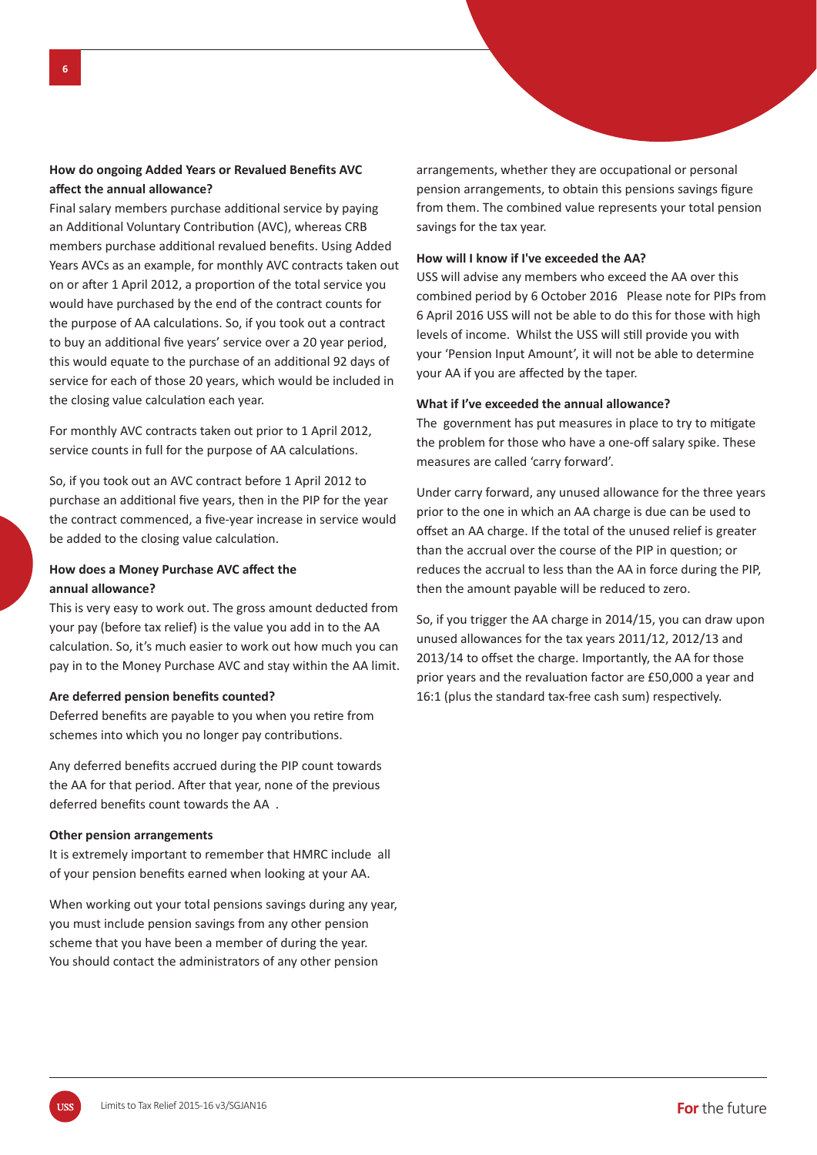## **How do ongoing Added Years or Revalued Benefits AVC aff ect the annual allowance?**

Final salary members purchase additional service by paying an Additional Voluntary Contribution (AVC), whereas CRB members purchase additional revalued benefits. Using Added Years AVCs as an example, for monthly AVC contracts taken out on or after 1 April 2012, a proportion of the total service you would have purchased by the end of the contract counts for the purpose of AA calculations. So, if you took out a contract to buy an additional five years' service over a 20 year period. this would equate to the purchase of an additional 92 days of service for each of those 20 years, which would be included in the closing value calculation each year.

For monthly AVC contracts taken out prior to 1 April 2012, service counts in full for the purpose of AA calculations.

So, if you took out an AVC contract before 1 April 2012 to purchase an additional five years, then in the PIP for the year the contract commenced, a five-year increase in service would be added to the closing value calculation.

## **How does a Money Purchase AVC affect the annual allowance?**

This is very easy to work out. The gross amount deducted from your pay (before tax relief) is the value you add in to the AA calculation. So, it's much easier to work out how much you can pay in to the Money Purchase AVC and stay within the AA limit.

#### Are deferred pension benefits counted?

Deferred benefits are payable to you when you retire from schemes into which you no longer pay contributions.

Any deferred benefits accrued during the PIP count towards the AA for that period. After that year, none of the previous deferred benefits count towards the AA.

#### **Other pension arrangements**

It is extremely important to remember that HMRC include all of your pension benefits earned when looking at your AA.

When working out your total pensions savings during any year, you must include pension savings from any other pension scheme that you have been a member of during the year. You should contact the administrators of any other pension

arrangements, whether they are occupational or personal pension arrangements, to obtain this pensions savings figure from them. The combined value represents your total pension savings for the tax year.

#### **How will I know if I've exceeded the AA?**

USS will advise any members who exceed the AA over this combined period by 6 October 2016 Please note for PIPs from 6 April 2016 USS will not be able to do this for those with high levels of income. Whilst the USS will still provide you with your 'Pension Input Amount', it will not be able to determine your AA if you are affected by the taper.

#### **What if I've exceeded the annual allowance?**

The government has put measures in place to try to mitigate the problem for those who have a one-off salary spike. These measures are called 'carry forward'.

Under carry forward, any unused allowance for the three years prior to the one in which an AA charge is due can be used to offset an AA charge. If the total of the unused relief is greater than the accrual over the course of the PIP in question; or reduces the accrual to less than the AA in force during the PIP, then the amount payable will be reduced to zero.

So, if you trigger the AA charge in 2014/15, you can draw upon unused allowances for the tax years 2011/12, 2012/13 and 2013/14 to offset the charge. Importantly, the AA for those prior years and the revaluation factor are £50,000 a year and 16:1 (plus the standard tax-free cash sum) respectively.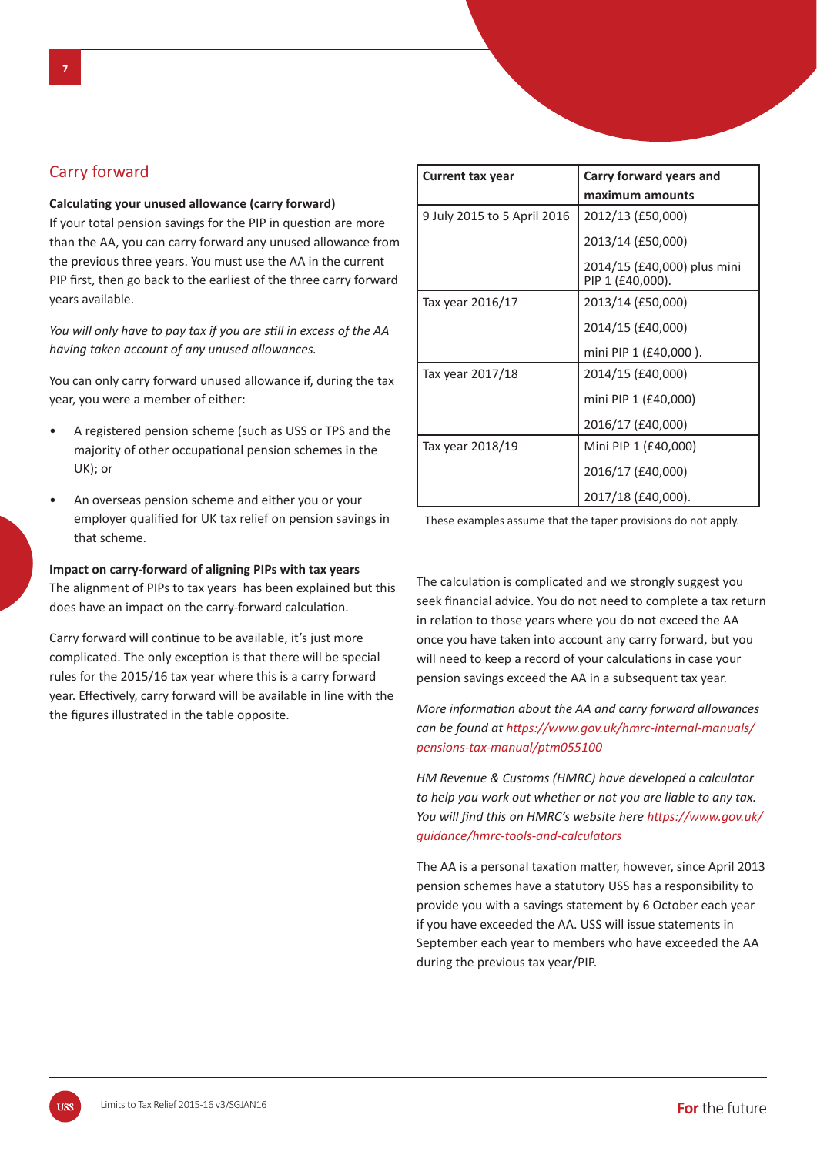## Carry forward

#### **CalculaƟ ng your unused allowance (carry forward)**

If your total pension savings for the PIP in question are more than the AA, you can carry forward any unused allowance from the previous three years. You must use the AA in the current PIP first, then go back to the earliest of the three carry forward years available.

*You will only have to pay tax if you are still in excess of the AA having taken account of any unused allowances.* 

You can only carry forward unused allowance if, during the tax year, you were a member of either:

- A registered pension scheme (such as USS or TPS and the majority of other occupational pension schemes in the UK); or
- An overseas pension scheme and either you or your employer qualified for UK tax relief on pension savings in that scheme.

#### **Impact on carry-forward of aligning PIPs with tax years**

The alignment of PIPs to tax years has been explained but this does have an impact on the carry-forward calculation.

Carry forward will continue to be available, it's just more complicated. The only exception is that there will be special rules for the 2015/16 tax year where this is a carry forward year. Effectively, carry forward will be available in line with the the figures illustrated in the table opposite.

| <b>Current tax year</b>     | Carry forward years and                         |
|-----------------------------|-------------------------------------------------|
|                             | maximum amounts                                 |
| 9 July 2015 to 5 April 2016 | 2012/13 (£50,000)                               |
|                             | 2013/14 (£50,000)                               |
|                             | 2014/15 (£40,000) plus mini<br>PIP 1 (£40,000). |
| Tax year 2016/17            | 2013/14 (£50,000)                               |
|                             | 2014/15 (£40,000)                               |
|                             | mini PIP 1 (£40,000 ).                          |
| Tax year 2017/18            | 2014/15 (£40,000)                               |
|                             | mini PIP 1 (£40,000)                            |
|                             | 2016/17 (£40,000)                               |
| Tax year 2018/19            | Mini PIP 1 (£40,000)                            |
|                             | 2016/17 (£40,000)                               |
|                             | 2017/18 (£40,000).                              |

These examples assume that the taper provisions do not apply.

The calculation is complicated and we strongly suggest you seek financial advice. You do not need to complete a tax return in relation to those years where you do not exceed the AA once you have taken into account any carry forward, but you will need to keep a record of your calculations in case your pension savings exceed the AA in a subsequent tax year.

*More informaƟ on about the AA and carry forward allowances can be found at hƩ ps://www.gov.uk/hmrc-internal-manuals/ pensions-tax-manual/ptm055100* 

*HM Revenue & Customs (HMRC) have developed a calculator to help you work out whether or not you are liable to any tax. You will find this on HMRC's website here https://www.gov.uk/ guidance/hmrc-tools-and-calculators*

The AA is a personal taxation matter, however, since April 2013 pension schemes have a statutory USS has a responsibility to provide you with a savings statement by 6 October each year if you have exceeded the AA. USS will issue statements in September each year to members who have exceeded the AA during the previous tax year/PIP.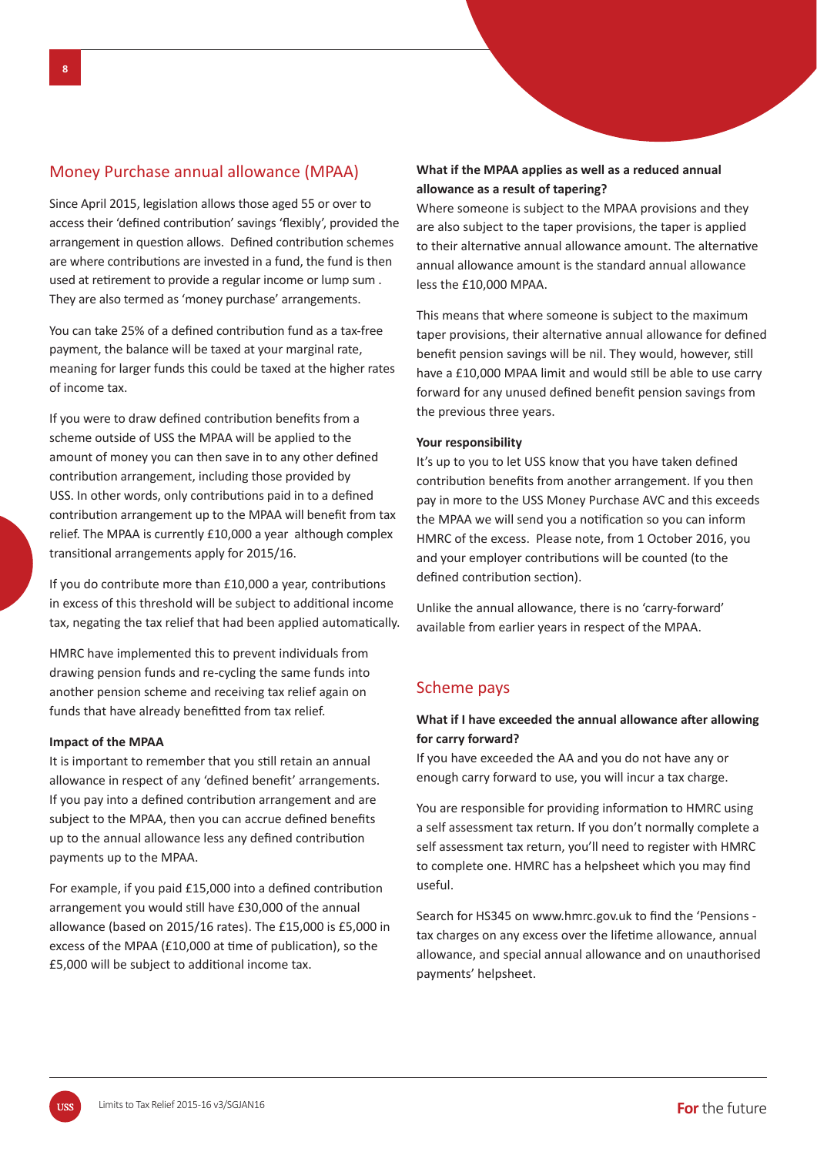## Money Purchase annual allowance (MPAA)

Since April 2015, legislation allows those aged 55 or over to access their 'defined contribution' savings 'flexibly', provided the arrangement in question allows. Defined contribution schemes are where contributions are invested in a fund, the fund is then used at retirement to provide a regular income or lump sum. They are also termed as 'money purchase' arrangements.

You can take 25% of a defined contribution fund as a tax-free payment, the balance will be taxed at your marginal rate, meaning for larger funds this could be taxed at the higher rates of income tax.

If you were to draw defined contribution benefits from a scheme outside of USS the MPAA will be applied to the amount of money you can then save in to any other defined contribution arrangement, including those provided by USS. In other words, only contributions paid in to a defined contribution arrangement up to the MPAA will benefit from tax relief. The MPAA is currently £10,000 a year although complex transitional arrangements apply for 2015/16.

If you do contribute more than  $£10,000$  a year, contributions in excess of this threshold will be subject to additional income tax, negating the tax relief that had been applied automatically.

HMRC have implemented this to prevent individuals from drawing pension funds and re-cycling the same funds into another pension scheme and receiving tax relief again on funds that have already benefitted from tax relief.

#### **Impact of the MPAA**

It is important to remember that you still retain an annual allowance in respect of any 'defined benefit' arrangements. If you pay into a defined contribution arrangement and are subject to the MPAA, then you can accrue defined benefits up to the annual allowance less any defined contribution payments up to the MPAA.

For example, if you paid £15,000 into a defined contribution arrangement you would still have £30,000 of the annual allowance (based on 2015/16 rates). The £15,000 is £5,000 in excess of the MPAA (£10,000 at time of publication), so the £5,000 will be subject to additional income tax.

### **What if the MPAA applies as well as a reduced annual allowance as a result of tapering?**

Where someone is subject to the MPAA provisions and they are also subject to the taper provisions, the taper is applied to their alternative annual allowance amount. The alternative annual allowance amount is the standard annual allowance less the £10,000 MPAA.

This means that where someone is subject to the maximum taper provisions, their alternative annual allowance for defined benefit pension savings will be nil. They would, however, still have a £10,000 MPAA limit and would still be able to use carry forward for any unused defined benefit pension savings from the previous three years.

#### **Your responsibility**

It's up to you to let USS know that you have taken defined contribution benefits from another arrangement. If you then pay in more to the USS Money Purchase AVC and this exceeds the MPAA we will send you a notification so you can inform HMRC of the excess. Please note, from 1 October 2016, you and your employer contributions will be counted (to the defined contribution section).

Unlike the annual allowance, there is no 'carry-forward' available from earlier years in respect of the MPAA.

## Scheme pays

## **What if I have exceeded the annual allowance after allowing for carry forward?**

If you have exceeded the AA and you do not have any or enough carry forward to use, you will incur a tax charge.

You are responsible for providing information to HMRC using a self assessment tax return. If you don't normally complete a self assessment tax return, you'll need to register with HMRC to complete one. HMRC has a helpsheet which you may find useful.

Search for HS345 on www.hmrc.gov.uk to find the 'Pensions tax charges on any excess over the lifetime allowance, annual allowance, and special annual allowance and on unauthorised payments' helpsheet.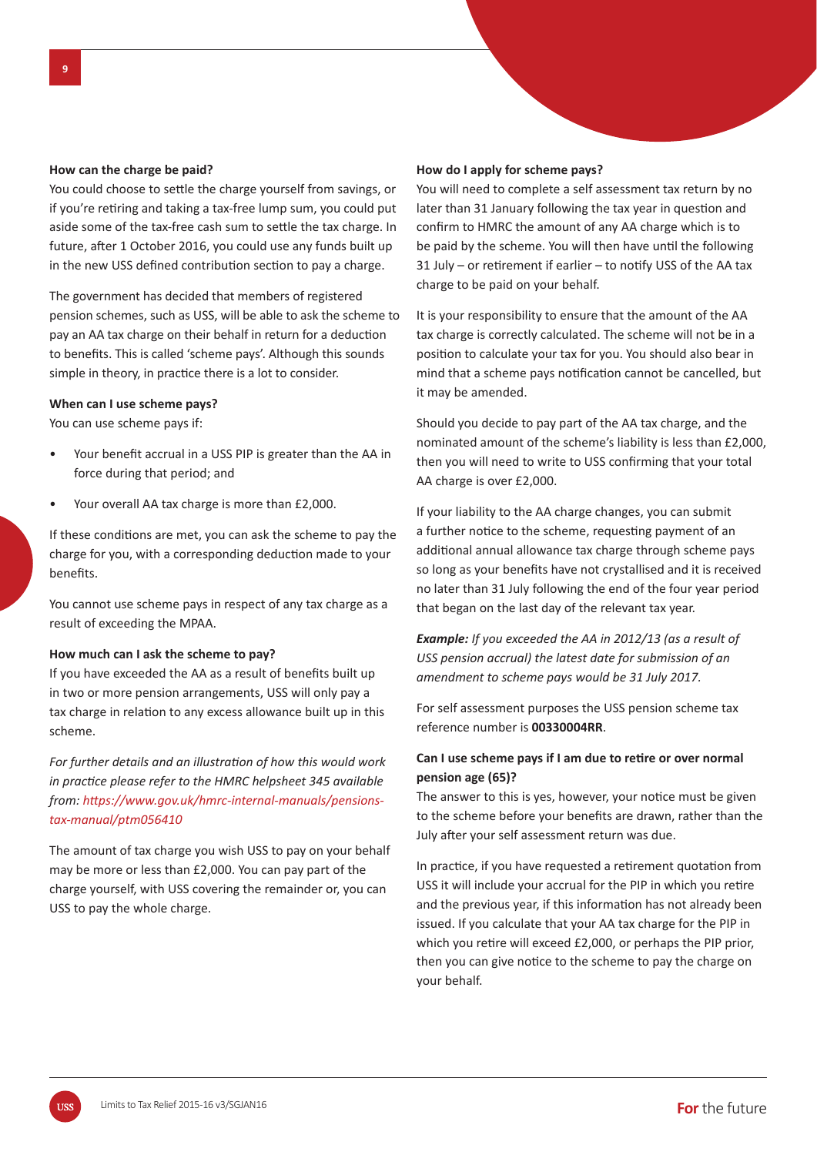#### **How can the charge be paid?**

You could choose to settle the charge yourself from savings, or if you're retiring and taking a tax-free lump sum, you could put aside some of the tax-free cash sum to settle the tax charge. In future, after 1 October 2016, you could use any funds built up in the new USS defined contribution section to pay a charge.

The government has decided that members of registered pension schemes, such as USS, will be able to ask the scheme to pay an AA tax charge on their behalf in return for a deduction to benefits. This is called 'scheme pays'. Although this sounds simple in theory, in practice there is a lot to consider.

#### **When can I use scheme pays?**

You can use scheme pays if:

- Your benefit accrual in a USS PIP is greater than the AA in force during that period; and
- Your overall AA tax charge is more than £2,000.

If these conditions are met, you can ask the scheme to pay the charge for you, with a corresponding deduction made to your **benefits** 

You cannot use scheme pays in respect of any tax charge as a result of exceeding the MPAA.

#### **How much can I ask the scheme to pay?**

If you have exceeded the AA as a result of benefits built up in two or more pension arrangements, USS will only pay a tax charge in relation to any excess allowance built up in this scheme.

*For further details and an illustration of how this would work in pracƟ ce please refer to the HMRC helpsheet 345 available from: hƩ ps://www.gov.uk/hmrc-internal-manuals/pensionstax-manual/ptm056410*

The amount of tax charge you wish USS to pay on your behalf may be more or less than £2,000. You can pay part of the charge yourself, with USS covering the remainder or, you can USS to pay the whole charge.

#### **How do I apply for scheme pays?**

You will need to complete a self assessment tax return by no later than 31 January following the tax year in question and confirm to HMRC the amount of any AA charge which is to be paid by the scheme. You will then have until the following  $31$  July – or retirement if earlier – to notify USS of the AA tax charge to be paid on your behalf.

It is your responsibility to ensure that the amount of the AA tax charge is correctly calculated. The scheme will not be in a position to calculate your tax for you. You should also bear in mind that a scheme pays notification cannot be cancelled, but it may be amended.

Should you decide to pay part of the AA tax charge, and the nominated amount of the scheme's liability is less than £2,000, then you will need to write to USS confirming that your total AA charge is over £2,000.

If your liability to the AA charge changes, you can submit a further notice to the scheme, requesting payment of an additional annual allowance tax charge through scheme pays so long as your benefits have not crystallised and it is received no later than 31 July following the end of the four year period that began on the last day of the relevant tax year.

*Example: If you exceeded the AA in 2012/13 (as a result of USS pension accrual) the latest date for submission of an amendment to scheme pays would be 31 July 2017.* 

For self assessment purposes the USS pension scheme tax reference number is **00330004RR**.

## Can I use scheme pays if I am due to retire or over normal **pension age (65)?**

The answer to this is yes, however, your notice must be given to the scheme before your benefits are drawn, rather than the July after your self assessment return was due.

In practice, if you have requested a retirement quotation from USS it will include your accrual for the PIP in which you retire and the previous year, if this information has not already been issued. If you calculate that your AA tax charge for the PIP in which you retire will exceed £2,000, or perhaps the PIP prior, then you can give notice to the scheme to pay the charge on your behalf.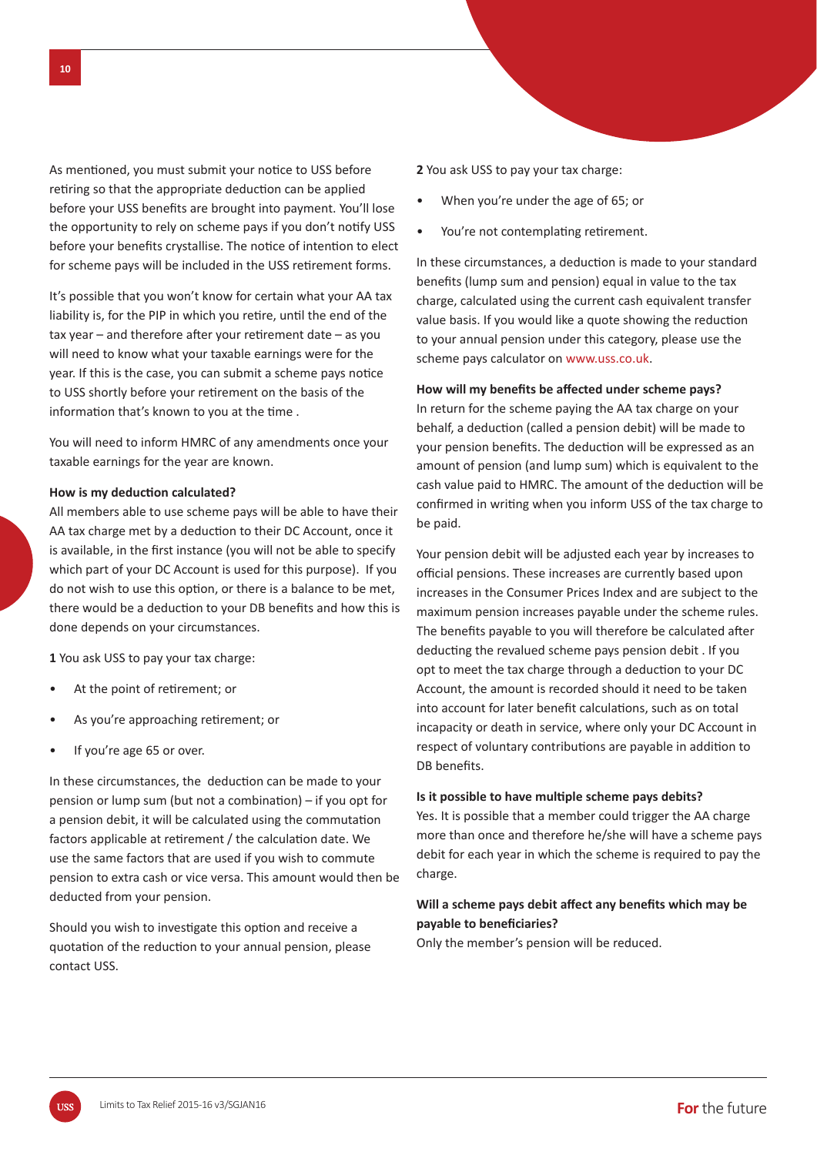As mentioned, you must submit your notice to USS before retiring so that the appropriate deduction can be applied before your USS benefits are brought into payment. You'll lose the opportunity to rely on scheme pays if you don't notify USS before your benefits crystallise. The notice of intention to elect for scheme pays will be included in the USS retirement forms.

It's possible that you won't know for certain what your AA tax liability is, for the PIP in which you retire, until the end of the  $tax year - and therefore after your retirement date - as you$ will need to know what your taxable earnings were for the year. If this is the case, you can submit a scheme pays notice to USS shortly before your retirement on the basis of the information that's known to you at the time.

You will need to inform HMRC of any amendments once your taxable earnings for the year are known.

#### **How is my deduction calculated?**

All members able to use scheme pays will be able to have their AA tax charge met by a deduction to their DC Account, once it is available, in the first instance (you will not be able to specify which part of your DC Account is used for this purpose). If you do not wish to use this option, or there is a balance to be met, there would be a deduction to your DB benefits and how this is done depends on your circumstances.

**1** You ask USS to pay your tax charge:

- At the point of retirement; or
- As you're approaching retirement; or
- If you're age 65 or over.

In these circumstances, the deduction can be made to your pension or lump sum (but not a combination) – if you opt for a pension debit, it will be calculated using the commutation factors applicable at retirement / the calculation date. We use the same factors that are used if you wish to commute pension to extra cash or vice versa. This amount would then be deducted from your pension.

Should you wish to investigate this option and receive a quotation of the reduction to your annual pension, please contact USS.

**2** You ask USS to pay your tax charge:

- When you're under the age of 65; or
- You're not contemplating retirement.

In these circumstances, a deduction is made to your standard benefits (lump sum and pension) equal in value to the tax charge, calculated using the current cash equivalent transfer value basis. If you would like a quote showing the reduction to your annual pension under this category, please use the scheme pays calculator on www.uss.co.uk.

#### How will my benefits be affected under scheme pays?

In return for the scheme paying the AA tax charge on your behalf, a deduction (called a pension debit) will be made to your pension benefits. The deduction will be expressed as an amount of pension (and lump sum) which is equivalent to the cash value paid to HMRC. The amount of the deduction will be confirmed in writing when you inform USS of the tax charge to be paid.

Your pension debit will be adjusted each year by increases to official pensions. These increases are currently based upon increases in the Consumer Prices Index and are subject to the maximum pension increases payable under the scheme rules. The benefits payable to you will therefore be calculated after deducting the revalued scheme pays pension debit . If you opt to meet the tax charge through a deduction to your DC Account, the amount is recorded should it need to be taken into account for later benefit calculations, such as on total incapacity or death in service, where only your DC Account in respect of voluntary contributions are payable in addition to DB benefits.

#### **Is it possible to have multiple scheme pays debits?**

Yes. It is possible that a member could trigger the AA charge more than once and therefore he/she will have a scheme pays debit for each year in which the scheme is required to pay the charge.

#### Will a scheme pays debit affect any benefits which may be **payable to beneficiaries?**

Only the member's pension will be reduced.